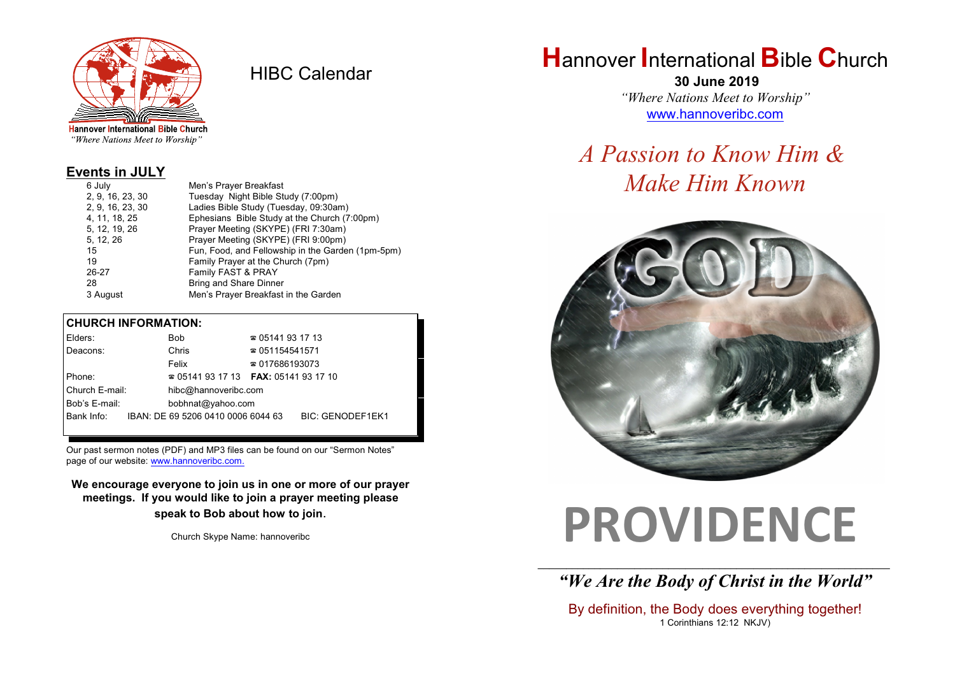

HIBC Calendar

"Where Nations Meet to Worship"

#### **Events in JULY**

| 6 July           | Men's Prayer Breakfast                            |
|------------------|---------------------------------------------------|
| 2, 9, 16, 23, 30 | Tuesday Night Bible Study (7:00pm)                |
| 2, 9, 16, 23, 30 | Ladies Bible Study (Tuesday, 09:30am)             |
| 4, 11, 18, 25    | Ephesians Bible Study at the Church (7:00pm)      |
| 5, 12, 19, 26    | Prayer Meeting (SKYPE) (FRI 7:30am)               |
| 5, 12, 26        | Prayer Meeting (SKYPE) (FRI 9:00pm)               |
| 15               | Fun, Food, and Fellowship in the Garden (1pm-5pm) |
| 19               | Family Prayer at the Church (7pm)                 |
| 26-27            | Family FAST & PRAY                                |
| 28               | <b>Bring and Share Dinner</b>                     |
| 3 August         | Men's Prayer Breakfast in the Garden              |

#### **CHURCH INFORMATION:**

|                | Elders:                            |                                          | Bob                                | $\approx 05141931713$  |                         |  |
|----------------|------------------------------------|------------------------------------------|------------------------------------|------------------------|-------------------------|--|
|                | Deacons:                           |                                          | Chris                              |                        | $\approx 051154541571$  |  |
|                |                                    |                                          | Felix                              | $\approx 017686193073$ |                         |  |
| Phone:         |                                    | $\approx 05141931713$ FAX: 0514193 17 10 |                                    |                        |                         |  |
| Church E-mail: |                                    |                                          | hibc@hannoveribc.com               |                        |                         |  |
|                | Bob's E-mail:<br>bobhnat@yahoo.com |                                          |                                    |                        |                         |  |
|                | Bank Info:                         |                                          | IBAN: DE 69 5206 0410 0006 6044 63 |                        | <b>BIC: GENODEF1EK1</b> |  |
|                |                                    |                                          |                                    |                        |                         |  |

Our past sermon notes (PDF) and MP3 files can be found on our "Sermon Notes" page of our website: [www.hannoveribc.com.](http://www.hannoveribc.com.)

**We encourage everyone to join us in one or more of our prayer meetings. If you would like to join a prayer meeting please speak to Bob about how to join**.

Church Skype Name: hannoveribc

## **H**annover **I**nternational **B**ible **C**hurch

 **30 June 2019** *"Where Nations Meet to Worship"* [www.hannoveribc.com](http://www.hannoveribc.com)

## *A Passion to Know Him & Make Him Known*



# **PROVIDENCE**

\_\_\_\_\_\_\_\_\_\_\_\_\_\_\_\_\_\_\_\_\_\_\_\_\_\_\_\_\_\_\_\_\_\_\_\_\_\_\_\_\_\_\_\_\_\_\_\_\_\_\_\_\_\_\_\_\_\_\_\_\_\_ *"We Are the Body of Christ in the World"*

By definition, the Body does everything together! 1 Corinthians 12:12 NKJV)